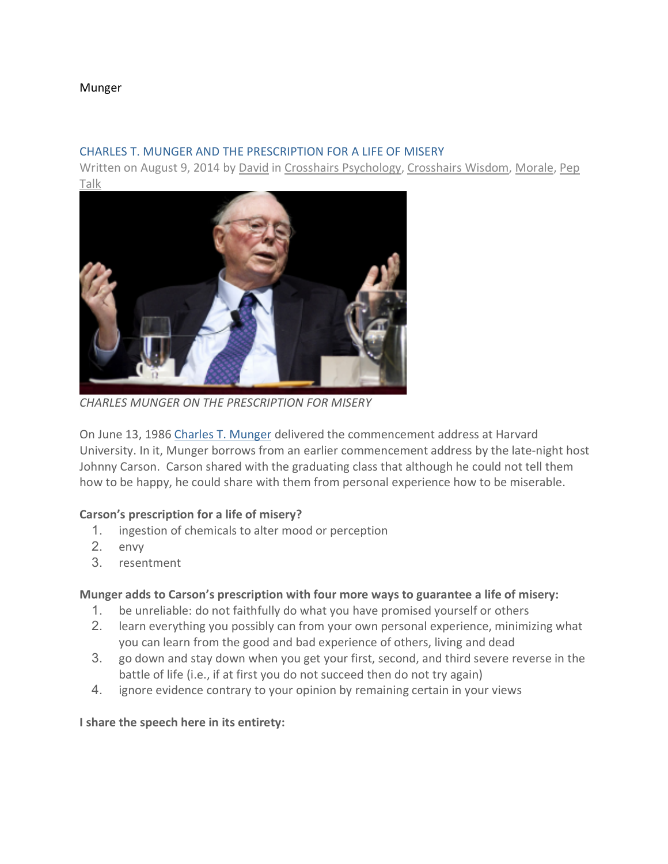## Munger

## CHARLES T. MUNGER AND THE PRESCRIPTION FOR A LIFE OF MISERY

Written on August 9, 2014 by David in Crosshairs Psychology, Crosshairs Wisdom, Morale, Pep Talk



*CHARLES MUNGER ON THE PRESCRIPTION FOR MISERY*

On June 13, 1986 Charles T. Munger delivered the commencement address at Harvard University. In it, Munger borrows from an earlier commencement address by the late-night host Johnny Carson. Carson shared with the graduating class that although he could not tell them how to be happy, he could share with them from personal experience how to be miserable.

## **Carson's prescription for a life of misery?**

- 1. ingestion of chemicals to alter mood or perception
- 2. envy
- 3. resentment

# **Munger adds to Carson's prescription with four more ways to guarantee a life of misery:**

- 1. be unreliable: do not faithfully do what you have promised yourself or others
- 2. learn everything you possibly can from your own personal experience, minimizing what you can learn from the good and bad experience of others, living and dead
- 3. go down and stay down when you get your first, second, and third severe reverse in the battle of life (i.e., if at first you do not succeed then do not try again)
- 4. ignore evidence contrary to your opinion by remaining certain in your views

## **I share the speech here in its entirety:**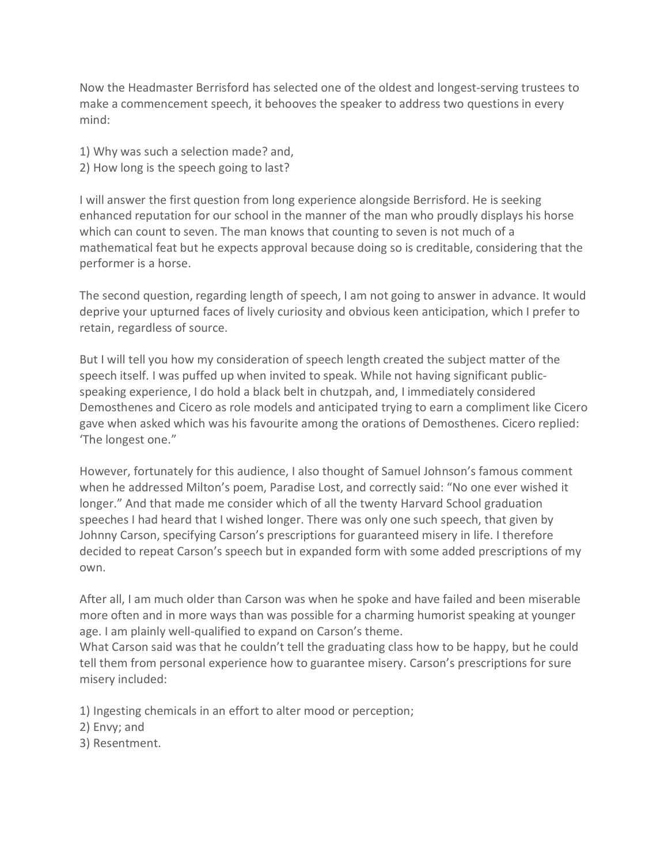Now the Headmaster Berrisford has selected one of the oldest and longest-serving trustees to make a commencement speech, it behooves the speaker to address two questions in every mind:

- 1) Why was such a selection made? and,
- 2) How long is the speech going to last?

I will answer the first question from long experience alongside Berrisford. He is seeking enhanced reputation for our school in the manner of the man who proudly displays his horse which can count to seven. The man knows that counting to seven is not much of a mathematical feat but he expects approval because doing so is creditable, considering that the performer is a horse.

The second question, regarding length of speech, I am not going to answer in advance. It would deprive your upturned faces of lively curiosity and obvious keen anticipation, which I prefer to retain, regardless of source.

But I will tell you how my consideration of speech length created the subject matter of the speech itself. I was puffed up when invited to speak. While not having significant publicspeaking experience, I do hold a black belt in chutzpah, and, I immediately considered Demosthenes and Cicero as role models and anticipated trying to earn a compliment like Cicero gave when asked which was his favourite among the orations of Demosthenes. Cicero replied: 'The longest one."

However, fortunately for this audience, I also thought of Samuel Johnson's famous comment when he addressed Milton's poem, Paradise Lost, and correctly said: "No one ever wished it longer." And that made me consider which of all the twenty Harvard School graduation speeches I had heard that I wished longer. There was only one such speech, that given by Johnny Carson, specifying Carson's prescriptions for guaranteed misery in life. I therefore decided to repeat Carson's speech but in expanded form with some added prescriptions of my own.

After all, I am much older than Carson was when he spoke and have failed and been miserable more often and in more ways than was possible for a charming humorist speaking at younger age. I am plainly well-qualified to expand on Carson's theme.

What Carson said was that he couldn't tell the graduating class how to be happy, but he could tell them from personal experience how to guarantee misery. Carson's prescriptions for sure misery included:

1) Ingesting chemicals in an effort to alter mood or perception;

- 2) Envy; and
- 3) Resentment.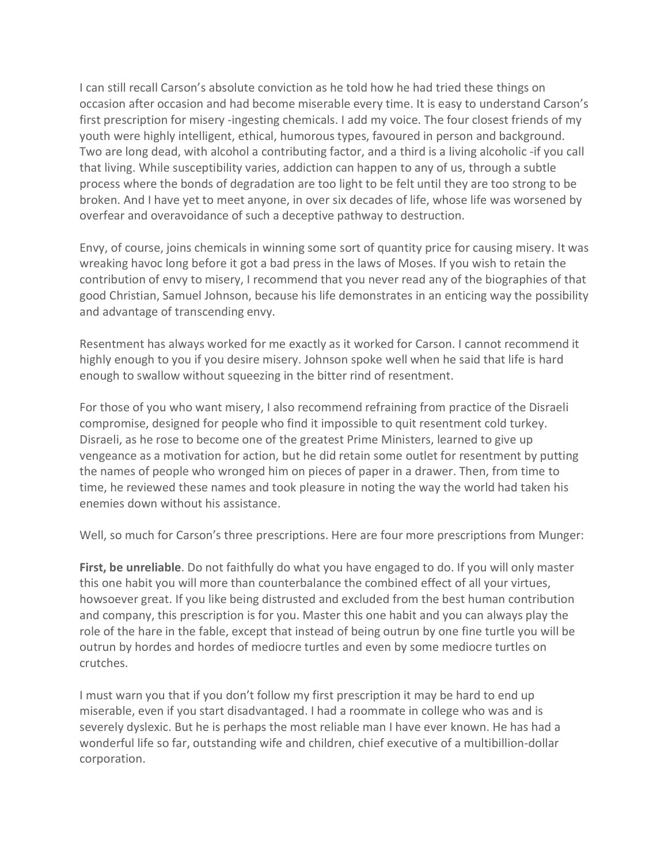I can still recall Carson's absolute conviction as he told how he had tried these things on occasion after occasion and had become miserable every time. It is easy to understand Carson's first prescription for misery -ingesting chemicals. I add my voice. The four closest friends of my youth were highly intelligent, ethical, humorous types, favoured in person and background. Two are long dead, with alcohol a contributing factor, and a third is a living alcoholic -if you call that living. While susceptibility varies, addiction can happen to any of us, through a subtle process where the bonds of degradation are too light to be felt until they are too strong to be broken. And I have yet to meet anyone, in over six decades of life, whose life was worsened by overfear and overavoidance of such a deceptive pathway to destruction.

Envy, of course, joins chemicals in winning some sort of quantity price for causing misery. It was wreaking havoc long before it got a bad press in the laws of Moses. If you wish to retain the contribution of envy to misery, I recommend that you never read any of the biographies of that good Christian, Samuel Johnson, because his life demonstrates in an enticing way the possibility and advantage of transcending envy.

Resentment has always worked for me exactly as it worked for Carson. I cannot recommend it highly enough to you if you desire misery. Johnson spoke well when he said that life is hard enough to swallow without squeezing in the bitter rind of resentment.

For those of you who want misery, I also recommend refraining from practice of the Disraeli compromise, designed for people who find it impossible to quit resentment cold turkey. Disraeli, as he rose to become one of the greatest Prime Ministers, learned to give up vengeance as a motivation for action, but he did retain some outlet for resentment by putting the names of people who wronged him on pieces of paper in a drawer. Then, from time to time, he reviewed these names and took pleasure in noting the way the world had taken his enemies down without his assistance.

Well, so much for Carson's three prescriptions. Here are four more prescriptions from Munger:

**First, be unreliable**. Do not faithfully do what you have engaged to do. If you will only master this one habit you will more than counterbalance the combined effect of all your virtues, howsoever great. If you like being distrusted and excluded from the best human contribution and company, this prescription is for you. Master this one habit and you can always play the role of the hare in the fable, except that instead of being outrun by one fine turtle you will be outrun by hordes and hordes of mediocre turtles and even by some mediocre turtles on crutches.

I must warn you that if you don't follow my first prescription it may be hard to end up miserable, even if you start disadvantaged. I had a roommate in college who was and is severely dyslexic. But he is perhaps the most reliable man I have ever known. He has had a wonderful life so far, outstanding wife and children, chief executive of a multibillion-dollar corporation.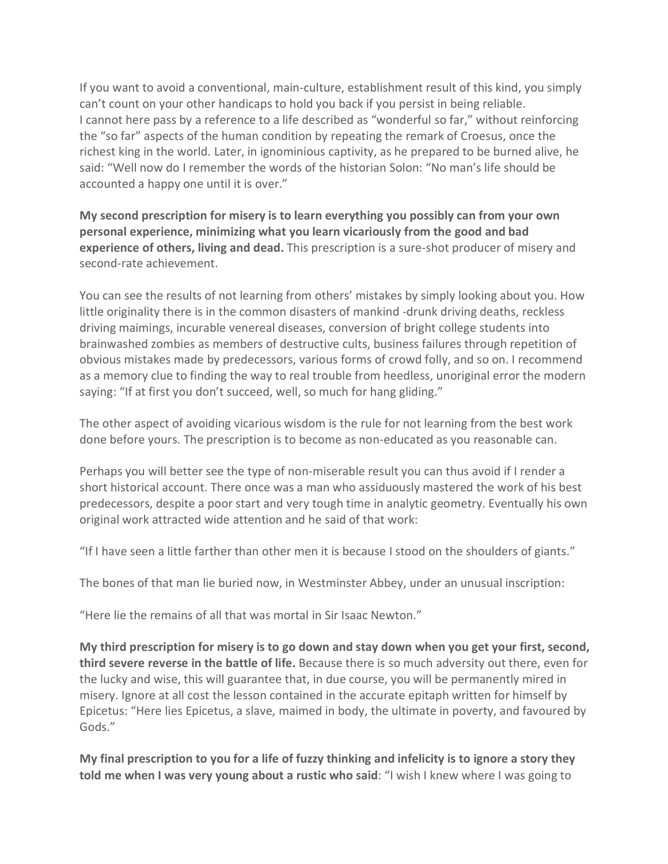If you want to avoid a conventional, main-culture, establishment result of this kind, you simply can't count on your other handicaps to hold you back if you persist in being reliable. I cannot here pass by a reference to a life described as "wonderful so far," without reinforcing the "so far" aspects of the human condition by repeating the remark of Croesus, once the richest king in the world. Later, in ignominious captivity, as he prepared to be burned alive, he said: "Well now do I remember the words of the historian Solon: "No man's life should be accounted a happy one until it is over."

**My second prescription for misery is to learn everything you possibly can from your own personal experience, minimizing what you learn vicariously from the good and bad experience of others, living and dead.** This prescription is a sure-shot producer of misery and second-rate achievement.

You can see the results of not learning from others' mistakes by simply looking about you. How little originality there is in the common disasters of mankind -drunk driving deaths, reckless driving maimings, incurable venereal diseases, conversion of bright college students into brainwashed zombies as members of destructive cults, business failures through repetition of obvious mistakes made by predecessors, various forms of crowd folly, and so on. I recommend as a memory clue to finding the way to real trouble from heedless, unoriginal error the modern saying: "If at first you don't succeed, well, so much for hang gliding."

The other aspect of avoiding vicarious wisdom is the rule for not learning from the best work done before yours. The prescription is to become as non-educated as you reasonable can.

Perhaps you will better see the type of non-miserable result you can thus avoid if I render a short historical account. There once was a man who assiduously mastered the work of his best predecessors, despite a poor start and very tough time in analytic geometry. Eventually his own original work attracted wide attention and he said of that work:

"If I have seen a little farther than other men it is because I stood on the shoulders of giants."

The bones of that man lie buried now, in Westminster Abbey, under an unusual inscription:

"Here lie the remains of all that was mortal in Sir Isaac Newton."

**My third prescription for misery is to go down and stay down when you get your first, second, third severe reverse in the battle of life.** Because there is so much adversity out there, even for the lucky and wise, this will guarantee that, in due course, you will be permanently mired in misery. Ignore at all cost the lesson contained in the accurate epitaph written for himself by Epicetus: "Here lies Epicetus, a slave, maimed in body, the ultimate in poverty, and favoured by Gods."

My final prescription to you for a life of fuzzy thinking and infelicity is to ignore a story they **told me when I was very young about a rustic who said**: "I wish I knew where I was going to